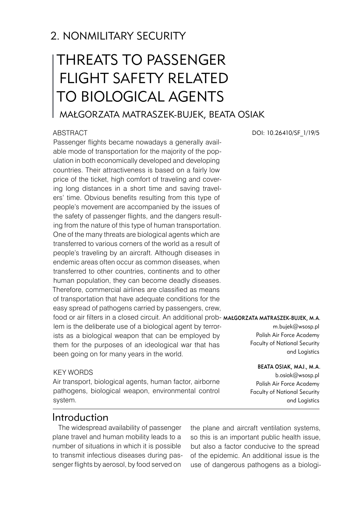# 2. NONMILITARY SECURITY

# THREATS TO PASSENGER FLIGHT SAFETY RELATED TO BIOLOGICAL AGENTS

# Małgorzata MATRASZEK-BUJEK, Beata OSIAK

### **ABSTRACT**

Passenger flights became nowadays a generally available mode of transportation for the majority of the population in both economically developed and developing countries. Their attractiveness is based on a fairly low price of the ticket, high comfort of traveling and covering long distances in a short time and saving travelers' time. Obvious benefits resulting from this type of people's movement are accompanied by the issues of the safety of passenger flights, and the dangers resulting from the nature of this type of human transportation. One of the many threats are biological agents which are transferred to various corners of the world as a result of people's traveling by an aircraft. Although diseases in endemic areas often occur as common diseases, when transferred to other countries, continents and to other human population, they can become deadly diseases. Therefore, commercial airlines are classified as means of transportation that have adequate conditions for the easy spread of pathogens carried by passengers, crew, food or air filters in a closed circuit. An additional prob-Małgorzata MATRASZEK-BUJEK, M.A. lem is the deliberate use of a biological agent by terrorists as a biological weapon that can be employed by them for the purposes of an ideological war that has been going on for many years in the world.

### KEY WORDS

Air transport, biological agents, human factor, airborne pathogens, biological weapon, environmental control system.

### Introduction

The widespread availability of passenger plane travel and human mobility leads to a number of situations in which it is possible to transmit infectious diseases during passenger flights by aerosol, by food served on

the plane and aircraft ventilation systems, so this is an important public health issue, but also a factor conducive to the spread of the epidemic. An additional issue is the use of dangerous pathogens as a biologi-

DOI: 10.26410/SF\_1/19/5

m.bujek@wsosp.pl Polish Air Force Academy Faculty of National Security and Logistics

### Beata OSIAK, Maj., M.A.

b.osiak@wsosp.pl Polish Air Force Academy Faculty of National Security and Logistics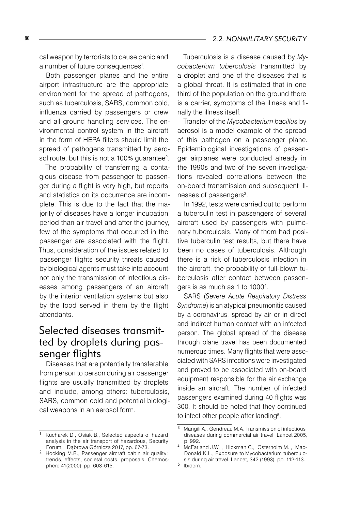cal weapon by terrorists to cause panic and a number of future consequences<sup>1</sup>.

Both passenger planes and the entire airport infrastructure are the appropriate environment for the spread of pathogens, such as tuberculosis, SARS, common cold, influenza carried by passengers or crew and all ground handling services. The environmental control system in the aircraft in the form of HEPA filters should limit the spread of pathogens transmitted by aerosol route, but this is not a 100% guarantee $^2$ .

The probability of transferring a contagious disease from passenger to passenger during a flight is very high, but reports and statistics on its occurrence are incomplete. This is due to the fact that the majority of diseases have a longer incubation period than air travel and after the journey, few of the symptoms that occurred in the passenger are associated with the flight. Thus, consideration of the issues related to passenger flights security threats caused by biological agents must take into account not only the transmission of infectious diseases among passengers of an aircraft by the interior ventilation systems but also by the food served in them by the flight attendants.

# Selected diseases transmitted by droplets during passenger flights

Diseases that are potentially transferable from person to person during air passenger flights are usually transmitted by droplets and include, among others: tuberculosis, SARS, common cold and potential biological weapons in an aerosol form.

Tuberculosis is a disease caused by *Mycobacterium tuberculosis* transmitted by a droplet and one of the diseases that is a global threat. It is estimated that in one third of the population on the ground there is a carrier, symptoms of the illness and finally the illness itself.

Transfer of the *Mycobacterium bacillus* by aerosol is a model example of the spread of this pathogen on a passenger plane. Epidemiological investigations of passenger airplanes were conducted already in the 1990s and two of the seven investigations revealed correlations between the on-board transmission and subsequent illnesses of passengers<sup>3</sup>.

In 1992, tests were carried out to perform a tuberculin test in passengers of several aircraft used by passengers with pulmonary tuberculosis. Many of them had positive tuberculin test results, but there have been no cases of tuberculosis. Although there is a risk of tuberculosis infection in the aircraft, the probability of full-blown tuberculosis after contact between passengers is as much as 1 to 10004 .

SARS (*Severe Acute Respiratory Distress Syndrome*) is an atypical pneumonitis caused by a coronavirus, spread by air or in direct and indirect human contact with an infected person. The global spread of the disease through plane travel has been documented numerous times. Many flights that were associated with SARS infections were investigated and proved to be associated with on-board equipment responsible for the air exchange inside an aircraft. The number of infected passengers examined during 40 flights was 300. It should be noted that they continued to infect other people after landing<sup>5</sup>.

<sup>&</sup>lt;sup>1</sup> Kucharek D., Osiak B., Selected aspects of hazard analysis in the air transport of hazardous, Security Forum, Dąbrowa Górnicza 2017, pp. 67-73.

<sup>&</sup>lt;sup>2</sup> Hocking M.B., Passenger aircraft cabin air quality: trends, effects, societal costs, proposals, Chemosphere 41(2000), pp. 603-615.

<sup>&</sup>lt;sup>3</sup> Mangili A., Gendreau M.A. Transmission of infectious diseases during commercial air travel. Lancet 2005, p. 992.

<sup>4</sup> McFarland J.W., Hickman C., Osterholm M., Mac-Donald K.L., Exposure to Mycobacterium tuberculosis during air travel. Lancet, 342 (1993), pp. 112-113.

<sup>&</sup>lt;sup>5</sup> Ibidem.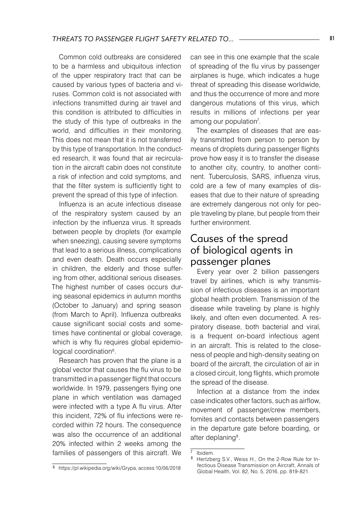Common cold outbreaks are considered to be a harmless and ubiquitous infection of the upper respiratory tract that can be caused by various types of bacteria and viruses. Common cold is not associated with infections transmitted during air travel and this condition is attributed to difficulties in the study of this type of outbreaks in the world, and difficulties in their monitoring. This does not mean that it is not transferred by this type of transportation. In the conducted research, it was found that air recirculation in the aircraft cabin does not constitute a risk of infection and cold symptoms, and that the filter system is sufficiently tight to prevent the spread of this type of infection.

Influenza is an acute infectious disease of the respiratory system caused by an infection by the influenza virus. It spreads between people by droplets (for example when sneezing), causing severe symptoms that lead to a serious illness, complications and even death. Death occurs especially in children, the elderly and those suffering from other, additional serious diseases. The highest number of cases occurs during seasonal epidemics in autumn months (October to January) and spring season (from March to April). Influenza outbreaks cause significant social costs and sometimes have continental or global coverage, which is why flu requires global epidemiological coordination<sup>6</sup>.

Research has proven that the plane is a global vector that causes the flu virus to be transmitted in a passenger flight that occurs worldwide. In 1979, passengers flying one plane in which ventilation was damaged were infected with a type A flu virus. After this incident, 72% of flu infections were recorded within 72 hours. The consequence was also the occurrence of an additional 20% infected within 2 weeks among the families of passengers of this aircraft. We

can see in this one example that the scale of spreading of the flu virus by passenger airplanes is huge, which indicates a huge threat of spreading this disease worldwide, and thus the occurrence of more and more dangerous mutations of this virus, which results in millions of infections per year among our population<sup>7</sup>.

The examples of diseases that are easily transmitted from person to person by means of droplets during passenger flights prove how easy it is to transfer the disease to another city, country, to another continent. Tuberculosis, SARS, influenza virus, cold are a few of many examples of diseases that due to their nature of spreading are extremely dangerous not only for people traveling by plane, but people from their further environment.

### Causes of the spread of biological agents in passenger planes

Every year over 2 billion passengers travel by airlines, which is why transmission of infectious diseases is an important global health problem. Transmission of the disease while traveling by plane is highly likely, and often even documented. A respiratory disease, both bacterial and viral, is a frequent on-board infectious agent in an aircraft. This is related to the closeness of people and high-density seating on board of the aircraft, the circulation of air in a closed circuit, long flights, which promote the spread of the disease.

Infection at a distance from the index case indicates other factors, such as airflow, movement of passenger/crew members, fomites and contacts between passengers in the departure gate before boarding, or after deplaning<sup>8</sup>.

 $\overline{7}$  Ibidem.

<sup>8</sup> Hertzberg S.V., Weiss H., On the 2-Row Rule for Infectious Disease Transmission on Aircraft, Annals of Global Health, Vol. 82, No. 5, 2016, pp. 819-821.

 $6$  https://pl.wikipedia.org/wiki/Grypa, access:10/06/2018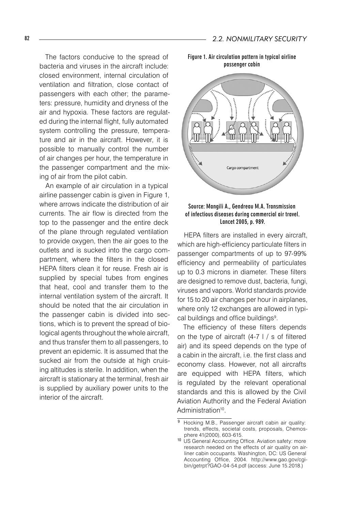The factors conducive to the spread of bacteria and viruses in the aircraft include: closed environment, internal circulation of ventilation and filtration, close contact of passengers with each other; the parameters: pressure, humidity and dryness of the air and hypoxia. These factors are regulated during the internal flight, fully automated system controlling the pressure, temperature and air in the aircraft. However, it is possible to manually control the number of air changes per hour, the temperature in the passenger compartment and the mixing of air from the pilot cabin.

An example of air circulation in a typical airline passenger cabin is given in Figure 1, where arrows indicate the distribution of air currents. The air flow is directed from the top to the passenger and the entire deck of the plane through regulated ventilation to provide oxygen, then the air goes to the outlets and is sucked into the cargo compartment, where the filters in the closed HEPA filters clean it for reuse. Fresh air is supplied by special tubes from engines that heat, cool and transfer them to the internal ventilation system of the aircraft. It should be noted that the air circulation in the passenger cabin is divided into sections, which is to prevent the spread of biological agents throughout the whole aircraft, and thus transfer them to all passengers, to prevent an epidemic. It is assumed that the sucked air from the outside at high cruising altitudes is sterile. In addition, when the aircraft is stationary at the terminal, fresh air is supplied by auxiliary power units to the interior of the aircraft.

Figure 1. Air circulation pattern in typical airline passenger cabin





HEPA filters are installed in every aircraft, which are high-efficiency particulate filters in passenger compartments of up to 97-99% efficiency and permeability of particulates up to 0.3 microns in diameter. These filters are designed to remove dust, bacteria, fungi, viruses and vapors. World standards provide for 15 to 20 air changes per hour in airplanes, where only 12 exchanges are allowed in typical buildings and office buildings<sup>9</sup>.

The efficiency of these filters depends on the type of aircraft (4-7 l / s of filtered air) and its speed depends on the type of a cabin in the aircraft, i.e. the first class and economy class. However, not all aircrafts are equipped with HEPA filters, which is regulated by the relevant operational standards and this is allowed by the Civil Aviation Authority and the Federal Aviation Administration<sup>10</sup>.

<sup>9</sup> Hocking M.B., Passenger aircraft cabin air quality: trends, effects, societal costs, proposals, Chemosphere 41(2000), 603-615.

<sup>10</sup> US General Accounting Office. Aviation safety: more research needed on the effects of air quality on airliner cabin occupants. Washington, DC: US General Accounting Office, 2004. http://www.gao.gov/cgibin/getrpt?GAO-04-54.pdf (access: June 15.2018.)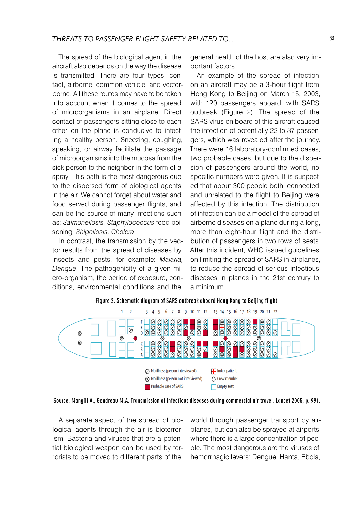The spread of the biological agent in the aircraft also depends on the way the disease is transmitted. There are four types: contact, airborne, common vehicle, and vectorborne. All these routes may have to be taken into account when it comes to the spread of microorganisms in an airplane. Direct contact of passengers sitting close to each other on the plane is conducive to infecting a healthy person. Sneezing, coughing, speaking, or airway facilitate the passage of microorganisms into the mucosa from the sick person to the neighbor in the form of a spray. This path is the most dangerous due to the dispersed form of biological agents in the air. We cannot forget about water and food served during passenger flights, and can be the source of many infections such as: *Salmonellosis, Staphylococcus* food poisoning*, Shigellosis, Cholera*.

In contrast, the transmission by the vector results from the spread of diseases by insects and pests, for example: *Malaria, Dengue*. The pathogenicity of a given micro-organism, the period of exposure, conditions, environmental conditions and the

general health of the host are also very important factors.

An example of the spread of infection on an aircraft may be a 3-hour flight from Hong Kong to Beijing on March 15, 2003, with 120 passengers aboard, with SARS outbreak (Figure 2). The spread of the SARS virus on board of this aircraft caused the infection of potentially 22 to 37 passengers, which was revealed after the journey. There were 16 laboratory-confirmed cases, two probable cases, but due to the dispersion of passengers around the world, no specific numbers were given. It is suspected that about 300 people both, connected and unrelated to the flight to Beijing were affected by this infection. The distribution of infection can be a model of the spread of airborne diseases on a plane during a long, more than eight-hour flight and the distribution of passengers in two rows of seats. After this incident, WHO issued guidelines on limiting the spread of SARS in airplanes, to reduce the spread of serious infectious diseases in planes in the 21st century to a minimum.



Figure 2. Schematic diagram of SARS outbreak aboard Hong Kong to Beijing flight

Source: Mangili A., Gendreau M.A. Transmission of infectious diseases during commercial air travel. Lancet 2005, p. 991.

A separate aspect of the spread of biological agents through the air is bioterrorism. Bacteria and viruses that are a potential biological weapon can be used by terrorists to be moved to different parts of the

world through passenger transport by airplanes, but can also be sprayed at airports where there is a large concentration of people. The most dangerous are the viruses of hemorrhagic fevers: Dengue, Hanta, Ebola,